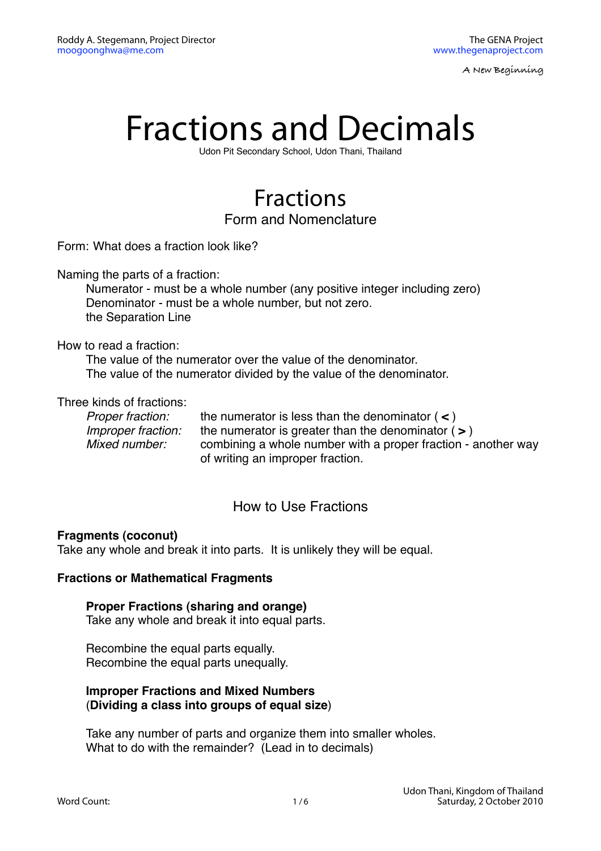# Fractions and Decimals

Udon Pit Secondary School, Udon Thani, Thailand

### Fractions Form and Nomenclature

Form: What does a fraction look like?

Naming the parts of a fraction:

Numerator - must be a whole number (any positive integer including zero) Denominator - must be a whole number, but not zero. the Separation Line

#### How to read a fraction:

The value of the numerator over the value of the denominator. The value of the numerator divided by the value of the denominator.

#### Three kinds of fractions:

*Proper fraction:* the numerator is less than the denominator ( **<** ) *Improper fraction:* the numerator is greater than the denominator ( **>** ) *Mixed number:* combining a whole number with a proper fraction - another way of writing an improper fraction.

#### How to Use Fractions

#### **Fragments (coconut)**

Take any whole and break it into parts. It is unlikely they will be equal.

#### **Fractions or Mathematical Fragments**

**Proper Fractions (sharing and orange)**

Take any whole and break it into equal parts.

Recombine the equal parts equally. Recombine the equal parts unequally.

#### **Improper Fractions and Mixed Numbers** (**Dividing a class into groups of equal size**)

Take any number of parts and organize them into smaller wholes. What to do with the remainder? (Lead in to decimals)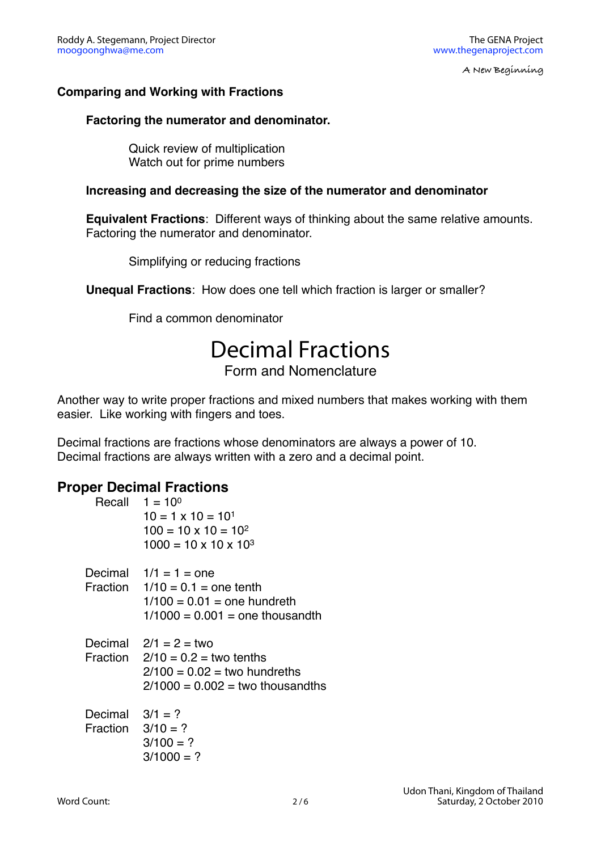#### **Comparing and Working with Fractions**

#### **Factoring the numerator and denominator.**

Quick review of multiplication Watch out for prime numbers

#### **Increasing and decreasing the size of the numerator and denominator**

**Equivalent Fractions**: Different ways of thinking about the same relative amounts. Factoring the numerator and denominator.

Simplifying or reducing fractions

**Unequal Fractions**: How does one tell which fraction is larger or smaller?

Find a common denominator

## Decimal Fractions

Form and Nomenclature

Another way to write proper fractions and mixed numbers that makes working with them easier. Like working with fingers and toes.

Decimal fractions are fractions whose denominators are always a power of 10. Decimal fractions are always written with a zero and a decimal point.

#### **Proper Decimal Fractions**

|                                          | Recall $1 = 10^{\circ}$<br>$10 = 1 \times 10 = 101$<br>$100 = 10 \times 10 = 10^2$<br>$1000 = 10 \times 10 \times 10^{3}$             |
|------------------------------------------|---------------------------------------------------------------------------------------------------------------------------------------|
|                                          | Decimal $1/1 = 1 =$ one<br>Fraction $1/10 = 0.1$ = one tenth<br>$1/100 = 0.01$ = one hundreth<br>$1/1000 = 0.001$ = one thousandth    |
|                                          | Decimal $2/1 = 2 =$ two<br>Fraction $2/10 = 0.2 =$ two tenths<br>$2/100 = 0.02 =$ two hundreths<br>$2/1000 = 0.002 =$ two thousandths |
| Decimal $3/1 = ?$<br>Fraction $3/10 = ?$ | $3/100 = ?$<br>$3/1000 = ?$                                                                                                           |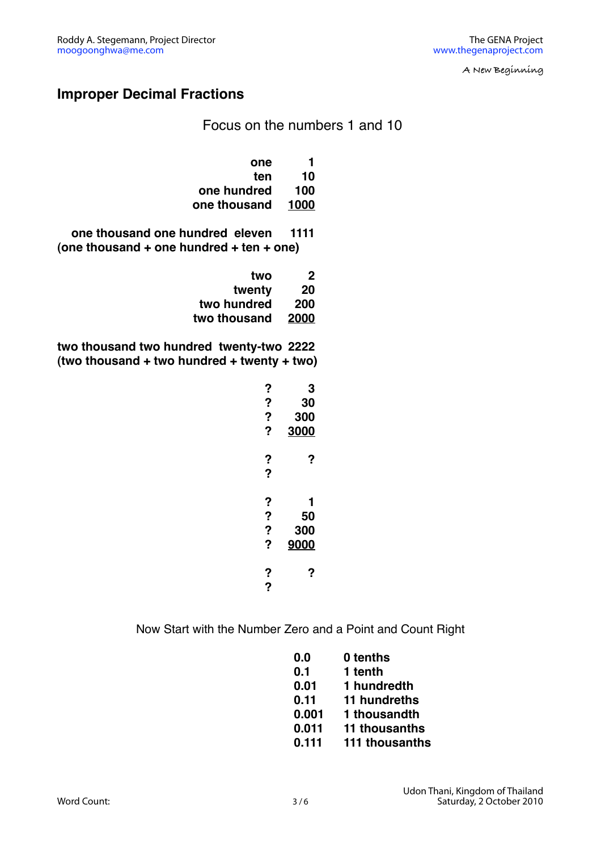#### **Improper Decimal Fractions**

Focus on the numbers 1 and 10

| one          | 1    |
|--------------|------|
| ten          | 10   |
| one hundred  | 100  |
| one thousand | 1000 |

**one thousand one hundred eleven 1111 (one thousand + one hundred + ten + one)**

| two          | 2    |
|--------------|------|
| twenty       | 20   |
| two hundred  | 200  |
| two thousand | 2000 |

**two thousand two hundred twenty-two 2222 (two thousand + two hundred + twenty + two)**

| ?      | 3           |
|--------|-------------|
| ?      | 30          |
| ?      | <b>300</b>  |
| ?      | <b>3000</b> |
| ?<br>? | ?           |
| ?      | 1           |
| ?      | 50          |
| ?      | 300         |
| ?      | 9000        |
| ?<br>? | ?           |

Now Start with the Number Zero and a Point and Count Right

| 0.0   | 0 tenths       |
|-------|----------------|
| 0.1   | 1 tenth        |
| 0.01  | 1 hundredth    |
| 0.11  | 11 hundreths   |
| 0.001 | 1 thousandth   |
| 0.011 | 11 thousanths  |
| 0.111 | 111 thousanths |
|       |                |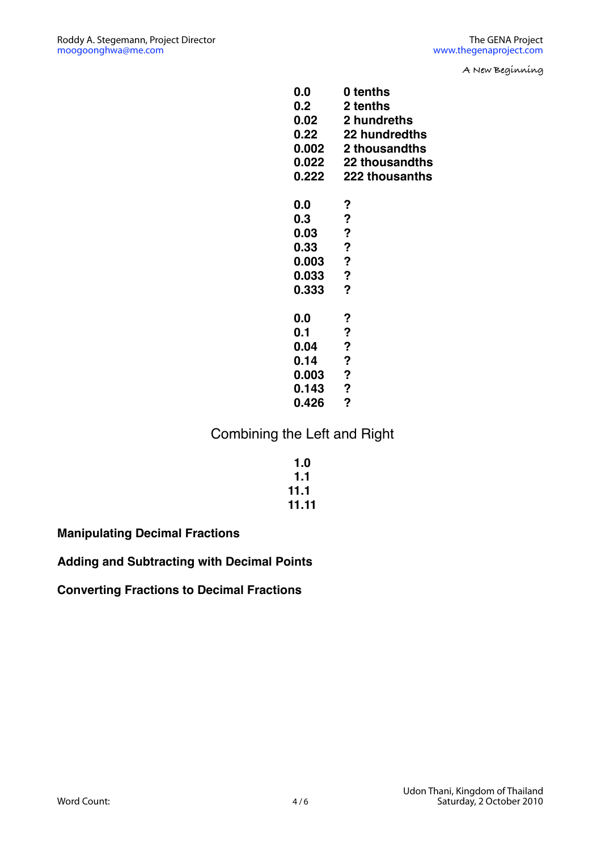| 0.0   | 0 tenths         |
|-------|------------------|
| 0.2   | 2 tenths         |
| 0.02  | 2 hundreths      |
| 0.22  | 22 hundredths    |
| 0.002 | 2 thousandths    |
| 0.022 | 22 thousandths   |
|       |                  |
| 0.222 | 222 thousanths   |
| 0.0   | ?                |
| 0.3   | ?                |
| 0.03  | ?                |
|       |                  |
| 0.33  | ?                |
| 0.003 | ?                |
| 0.033 | $\boldsymbol{P}$ |
| 0.333 | ?                |
|       |                  |
| 0.0   | ?                |
| 0.1   | ?                |
| 0.04  | ?                |
| 0.14  | ?                |
| 0.003 | $\boldsymbol{P}$ |
| 0.143 | $\boldsymbol{P}$ |
| 0.426 | ?                |
|       |                  |

#### Combining the Left and Right

| 1.0   |
|-------|
| 1.1   |
| 11.1  |
| 11.11 |

**Manipulating Decimal Fractions**

**Adding and Subtracting with Decimal Points**

**Converting Fractions to Decimal Fractions**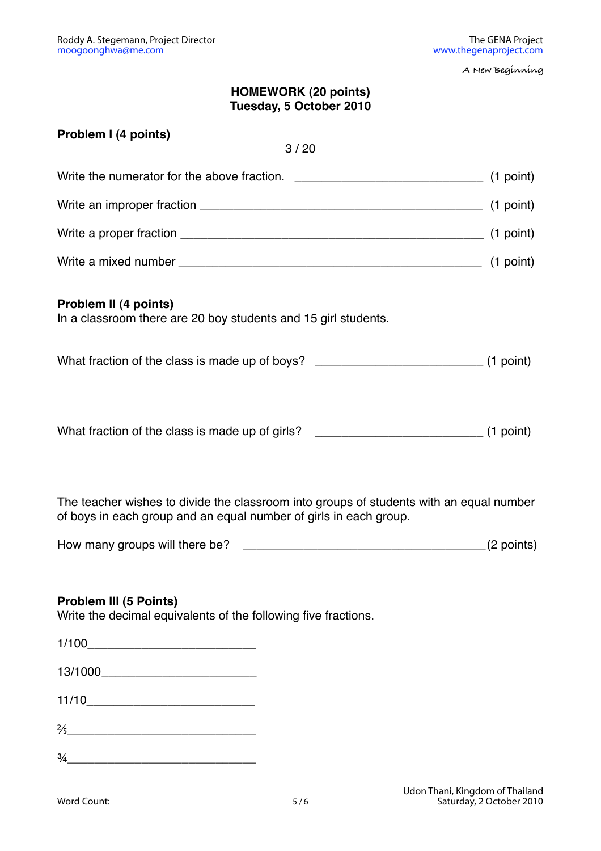#### **HOMEWORK (20 points) Tuesday, 5 October 2010**

| Problem I (4 points)<br>3/20                                                                                                                                                         |  |
|--------------------------------------------------------------------------------------------------------------------------------------------------------------------------------------|--|
|                                                                                                                                                                                      |  |
|                                                                                                                                                                                      |  |
|                                                                                                                                                                                      |  |
|                                                                                                                                                                                      |  |
| Problem II (4 points)<br>In a classroom there are 20 boy students and 15 girl students.<br>What fraction of the class is made up of boys? _________________________________(1 point) |  |
| What fraction of the class is made up of girls? _________________________________(1 point)                                                                                           |  |

The teacher wishes to divide the classroom into groups of students with an equal number of boys in each group and an equal number of girls in each group.

#### **Problem III (5 Points)**

Write the decimal equivalents of the following five fractions.

| $\frac{2}{5}$ |  |  |
|---------------|--|--|
| $\frac{3}{4}$ |  |  |